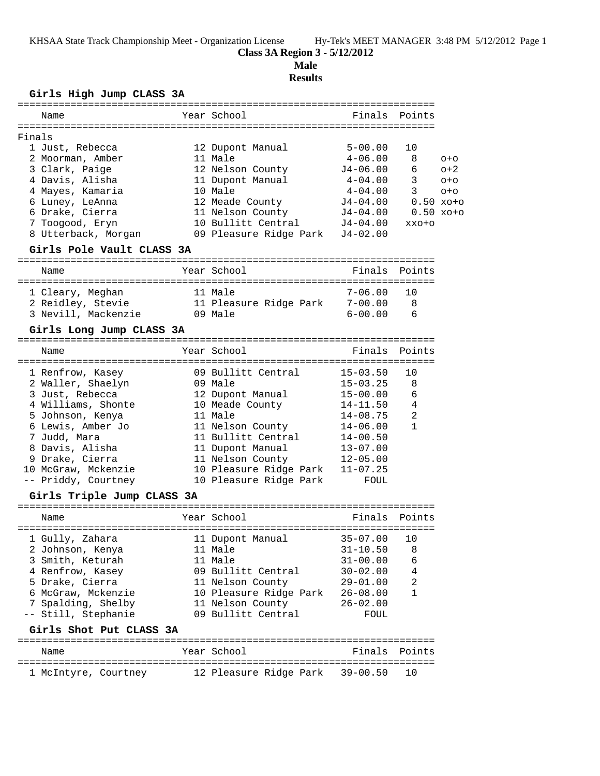## **Class 3A Region 3 - 5/12/2012**

**Male**

**Results**

### **Girls High Jump CLASS 3A**

| Name                      | Year School            | Finals Points |                      |         |
|---------------------------|------------------------|---------------|----------------------|---------|
| Finals                    |                        |               |                      |         |
| 1 Just, Rebecca           | 12 Dupont Manual       | $5 - 00.00$   | 10                   |         |
| 2 Moorman, Amber          | 11 Male                | $4 - 06.00$   | 8                    | $O + O$ |
| 3 Clark, Paige            | 12 Nelson County       | $J4 - 06.00$  | 6                    | $O+2$   |
| 4 Davis, Alisha           | 11 Dupont Manual       | $4 - 04.00$   | 3                    | $O + O$ |
| 4 Mayes, Kamaria          | 10 Male                | $4 - 04.00$   | 3                    | $O + O$ |
| 6 Luney, LeAnna           | 12 Meade County        | $J4 - 04.00$  | $0.50 \times 0+0$    |         |
| 6 Drake, Cierra           | 11 Nelson County       | $J4 - 04.00$  | $0.50 \times 0^{+0}$ |         |
| 7 Toogood, Eryn           | 10 Bullitt Central     | $J4 - 04.00$  | XXO+O                |         |
| 8 Utterback, Morgan       | 09 Pleasure Ridge Park | $J4 - 02.00$  |                      |         |
| Girls Pole Vault CLASS 3A |                        |               |                      |         |

### ======================================================================= Name The Year School The Points Points Points ======================================================================= 1 Cleary, Meghan 11 Male 7-06.00 10 2 Reidley, Stevie 11 Pleasure Ridge Park 7-00.00 8 3 Nevill, Mackenzie 09 Male 6-00.00 6

### **Girls Long Jump CLASS 3A**

| Name                | Year School            | Finals Points |                |
|---------------------|------------------------|---------------|----------------|
| 1 Renfrow, Kasey    | 09 Bullitt Central     | $15 - 03.50$  | 10             |
| 2 Waller, Shaelyn   | 09 Male                | $15 - 03.25$  | 8              |
| 3 Just, Rebecca     | 12 Dupont Manual       | $15 - 00.00$  | $\sqrt{6}$     |
| 4 Williams, Shonte  | 10 Meade County        | $14 - 11.50$  | $\overline{4}$ |
| 5 Johnson, Kenya    | 11 Male                | $14 - 08.75$  | 2              |
| 6 Lewis, Amber Jo   | 11 Nelson County       | $14 - 06.00$  |                |
| 7 Judd, Mara        | 11 Bullitt Central     | $14 - 00.50$  |                |
| 8 Davis, Alisha     | 11 Dupont Manual       | $13 - 07.00$  |                |
| 9 Drake, Cierra     | 11 Nelson County       | $12 - 05.00$  |                |
| 10 McGraw, Mckenzie | 10 Pleasure Ridge Park | $11 - 07.25$  |                |
| -- Priddy, Courtney | 10 Pleasure Ridge Park | FOUL          |                |

### **Girls Triple Jump CLASS 3A**

| Name                                | Year School                 | Finals Points                |                |
|-------------------------------------|-----------------------------|------------------------------|----------------|
| 1 Gully, Zahara<br>2 Johnson, Kenya | 11 Dupont Manual<br>11 Male | $35 - 07.00$<br>$31 - 10.50$ | 1 O<br>-8      |
| 3 Smith, Keturah                    | 11 Male                     | $31 - 00.00$                 | 6              |
| 4 Renfrow, Kasey                    | 09 Bullitt Central          | $30 - 02.00$                 | $\overline{4}$ |
| 5 Drake, Cierra                     | 11 Nelson County            | $29 - 01.00$                 | 2              |
| 6 McGraw, Mckenzie                  | 10 Pleasure Ridge Park      | $26 - 08.00$                 |                |
| 7 Spalding, Shelby                  | 11 Nelson County            | $26 - 02.00$                 |                |
| -- Still, Stephanie                 | 09 Bullitt Central          | FOUL                         |                |
|                                     |                             |                              |                |

# **Girls Shot Put CLASS 3A**

| Name                 | Year School                        | Finals Points |  |
|----------------------|------------------------------------|---------------|--|
|                      |                                    |               |  |
| 1 McIntyre, Courtney | 12 Pleasure Ridge Park 39-00.50 10 |               |  |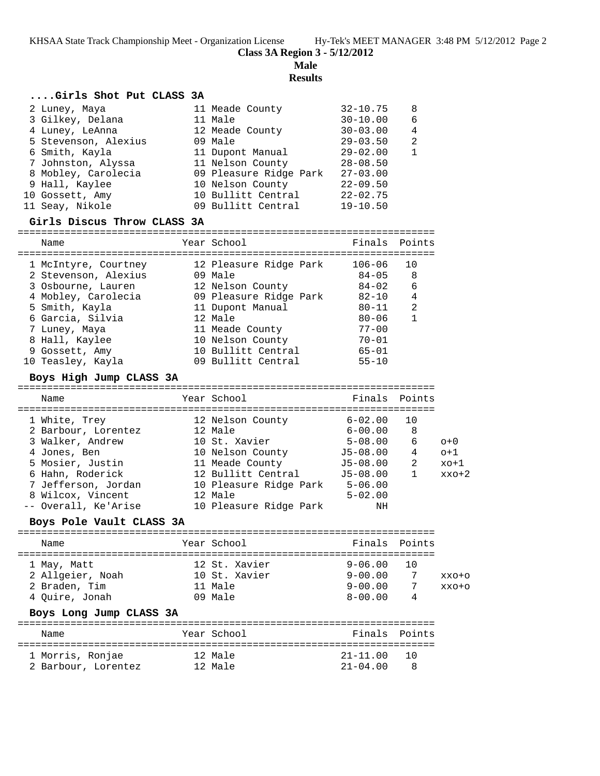**Class 3A Region 3 - 5/12/2012**

**Male**

**Results**

## **....Girls Shot Put CLASS 3A**

| 2 Luney, Maya        | 11 Meade County        | $32 - 10.75$ | 8 |
|----------------------|------------------------|--------------|---|
| 3 Gilkey, Delana     | 11 Male                | $30 - 10.00$ | 6 |
| 4 Luney, LeAnna      | 12 Meade County        | $30 - 03.00$ | 4 |
| 5 Stevenson, Alexius | 09 Male                | $29 - 03.50$ | 2 |
| 6 Smith, Kayla       | 11 Dupont Manual       | $29 - 02.00$ |   |
| 7 Johnston, Alyssa   | 11 Nelson County       | $28 - 08.50$ |   |
| 8 Mobley, Carolecia  | 09 Pleasure Ridge Park | $27 - 03.00$ |   |
| 9 Hall, Kaylee       | 10 Nelson County       | $22 - 09.50$ |   |
| 10 Gossett, Amy      | 10 Bullitt Central     | $22 - 02.75$ |   |
| 11 Seay, Nikole      | 09 Bullitt Central     | $19 - 10.50$ |   |

### **Girls Discus Throw CLASS 3A**

# =======================================================================

| Name                 | Year School            | Finals Points |              |
|----------------------|------------------------|---------------|--------------|
|                      |                        |               |              |
| 1 McIntyre, Courtney | 12 Pleasure Ridge Park | $106 - 06$    | 10           |
| 2 Stevenson, Alexius | 09 Male                | $84 - 05$     | 8            |
| 3 Osbourne, Lauren   | 12 Nelson County       | $84 - 02$     | 6            |
| 4 Mobley, Carolecia  | 09 Pleasure Ridge Park | $82 - 10$     | 4            |
| 5 Smith, Kayla       | 11 Dupont Manual       | $80 - 11$     | 2            |
| 6 Garcia, Silvia     | 12 Male                | $80 - 06$     | $\mathbf{1}$ |
| 7 Luney, Maya        | 11 Meade County        | $77 - 00$     |              |
| 8 Hall, Kaylee       | 10 Nelson County       | $70 - 01$     |              |
| 9 Gossett, Amy       | 10 Bullitt Central     | $65 - 01$     |              |
| 10 Teasley, Kayla    | 09 Bullitt Central     | $55 - 10$     |              |

### **Boys High Jump CLASS 3A**

| Name                 | Year School            | Finals Points |              |         |
|----------------------|------------------------|---------------|--------------|---------|
| 1 White, Trey        | 12 Nelson County       | $6 - 02.00$   | 10           |         |
| 2 Barbour, Lorentez  | 12 Male                | $6 - 00.00$   | 8            |         |
| 3 Walker, Andrew     | 10 St. Xavier          | $5 - 08.00$   | 6            | $O+O$   |
| 4 Jones, Ben         | 10 Nelson County       | $J5 - 08.00$  | 4            | $O+1$   |
| 5 Mosier, Justin     | 11 Meade County        | $J5 - 08.00$  | 2            | $xo+1$  |
| 6 Hahn, Roderick     | 12 Bullitt Central     | $J5 - 08.00$  | $\mathbf{1}$ | $xxo+2$ |
| 7 Jefferson, Jordan  | 10 Pleasure Ridge Park | $5 - 06.00$   |              |         |
| 8 Wilcox, Vincent    | 12 Male                | $5 - 02.00$   |              |         |
| -- Overall, Ke'Arise | 10 Pleasure Ridge Park | ΝH            |              |         |

### **Boys Pole Vault CLASS 3A**

| Name                                                               | Year School                                          | Finals Points                                            |                     |                      |
|--------------------------------------------------------------------|------------------------------------------------------|----------------------------------------------------------|---------------------|----------------------|
| 1 May, Matt<br>2 Allgeier, Noah<br>2 Braden, Tim<br>4 Ouire, Jonah | 12 St. Xavier<br>10 St. Xavier<br>11 Male<br>09 Male | $9 - 06.00$<br>$9 - 00.00$<br>$9 - 00.00$<br>$8 - 00.00$ | 10<br>-7<br>-7<br>4 | $XXO+O$<br>$XXO + O$ |
| Boys Long Jump CLASS 3A                                            |                                                      |                                                          |                     |                      |
| Name                                                               | Year School                                          | Finals Points                                            |                     |                      |

| 1.911111            |         | $\sim$ $\sim$ $\sim$ $\sim$ $\sim$ $\sim$ $\sim$ |  |
|---------------------|---------|--------------------------------------------------|--|
|                     |         |                                                  |  |
| 1 Morris, Ronjae    | 12 Male | 21-11.00 10                                      |  |
| 2 Barbour, Lorentez | 12 Male | $21 - 04.00$<br>$\mathbf{R}$                     |  |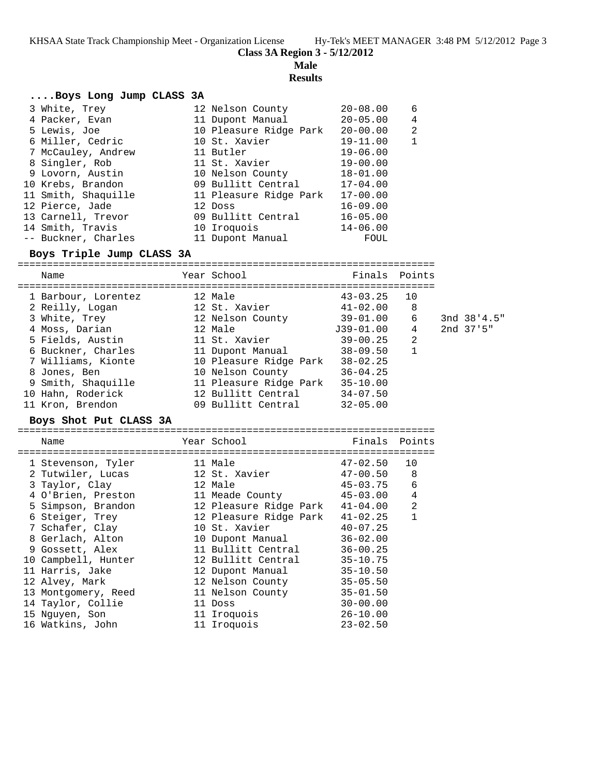**Class 3A Region 3 - 5/12/2012**

**Male**

**Results**

## **....Boys Long Jump CLASS 3A**

| 3 White, Trey       | 12 Nelson County       | $20 - 08.00$ | - 6            |
|---------------------|------------------------|--------------|----------------|
| 4 Packer, Evan      | 11 Dupont Manual       | $20 - 05.00$ | $\overline{4}$ |
| 5 Lewis, Joe        | 10 Pleasure Ridge Park | $20 - 00.00$ | 2              |
| 6 Miller, Cedric    | 10 St. Xavier          | $19 - 11.00$ | 1              |
| 7 McCauley, Andrew  | 11 Butler              | $19 - 06.00$ |                |
| 8 Singler, Rob      | 11 St. Xavier          | $19 - 00.00$ |                |
| 9 Lovorn, Austin    | 10 Nelson County       | $18 - 01.00$ |                |
| 10 Krebs, Brandon   | 09 Bullitt Central     | $17 - 04.00$ |                |
| 11 Smith, Shaquille | 11 Pleasure Ridge Park | $17 - 00.00$ |                |
| 12 Pierce, Jade     | 12 Doss                | $16 - 09.00$ |                |
| 13 Carnell, Trevor  | 09 Bullitt Central     | $16 - 05.00$ |                |
| 14 Smith, Travis    | 10 Iroquois            | $14 - 06.00$ |                |
| -- Buckner, Charles | 11 Dupont Manual       | FOUL         |                |

### **Boys Triple Jump CLASS 3A**

======================================================================= Name The Year School Team Points Points ======================================================================= 1 Barbour, Lorentez 12 Male 43-03.25 10 2 Reilly, Logan 12 St. Xavier 41-02.00 8 3 White, Trey 12 Nelson County 39-01.00 6 3nd 38'4.5" 4 Moss, Darian 12 Male J39-01.00 4 2nd 37'5" 5 Fields, Austin 11 St. Xavier 39-00.25 2 6 Buckner, Charles 11 Dupont Manual 38-09.50 1 7 Williams, Kionte 10 Pleasure Ridge Park 38-02.25 8 Jones, Ben 10 Nelson County 36-04.25 9 Smith, Shaquille 11 Pleasure Ridge Park 35-10.00 10 Hahn, Roderick 12 Bullitt Central 34-07.50 11 Kron, Brendon 09 Bullitt Central 32-05.00

#### **Boys Shot Put CLASS 3A**

======================================================================= Name The Year School The Points Points ======================================================================= 1 Stevenson, Tyler 11 Male 47-02.50 10 2 Tutwiler, Lucas 12 St. Xavier 47-00.50 8 3 Taylor, Clay 12 Male 45-03.75 6 4 O'Brien, Preston 11 Meade County 45-03.00 4 5 Simpson, Brandon 12 Pleasure Ridge Park 41-04.00 2 6 Steiger, Trey 12 Pleasure Ridge Park 41-02.25 1 7 Schafer, Clay 10 St. Xavier 40-07.25 8 Gerlach, Alton 10 Dupont Manual 36-02.00 9 Gossett, Alex 11 Bullitt Central 36-00.25 10 Campbell, Hunter 12 Bullitt Central 35-10.75 11 Harris, Jake 12 Dupont Manual 35-10.50 12 Alvey, Mark 12 Nelson County 35-05.50 13 Montgomery, Reed 11 Nelson County 35-01.50 14 Taylor, Collie 11 Doss 30-00.00 15 Nguyen, Son 11 Iroquois 26-10.00 16 Watkins, John 11 Iroquois 23-02.50